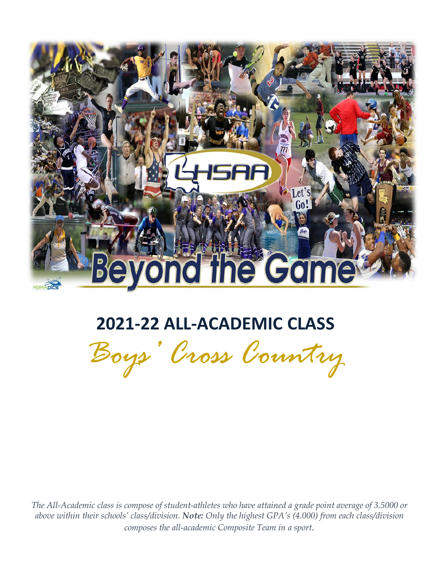

# **2021-22 ALL-ACADEMIC CLASS**

*Boys' Cross Country* 

*The All-Academic class is compose of student-athletes who have attained a grade point average of 3.5000 or above within their schools' class/division. Note: Only the highest GPA's (4.000) from each class/division composes the all-academic Composite Team in a sport.*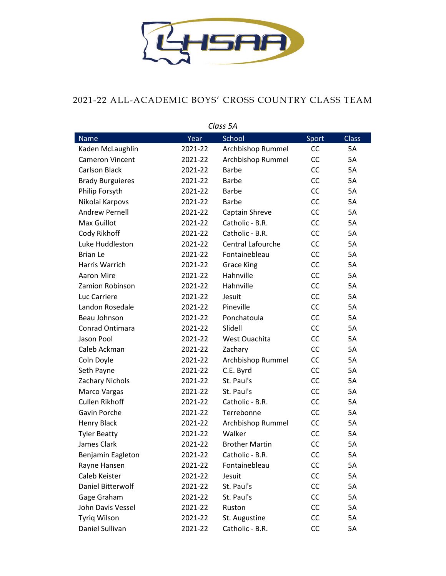

### 2021-22 ALL-ACADEMIC BOYS' CROSS COUNTRY CLASS TEAM

| הכ נכווט                |         |                          |           |              |  |
|-------------------------|---------|--------------------------|-----------|--------------|--|
| <b>Name</b>             | Year    | School                   | Sport     | <b>Class</b> |  |
| Kaden McLaughlin        | 2021-22 | Archbishop Rummel        | CC        | 5A           |  |
| <b>Cameron Vincent</b>  | 2021-22 | Archbishop Rummel        | CC        | 5A           |  |
| <b>Carlson Black</b>    | 2021-22 | <b>Barbe</b>             | CC        | 5A           |  |
| <b>Brady Burguieres</b> | 2021-22 | <b>Barbe</b>             | <b>CC</b> | <b>5A</b>    |  |
| Philip Forsyth          | 2021-22 | <b>Barbe</b>             | <b>CC</b> | 5A           |  |
| Nikolai Karpovs         | 2021-22 | <b>Barbe</b>             | CC        | 5A           |  |
| <b>Andrew Pernell</b>   | 2021-22 | Captain Shreve           | CC        | 5A           |  |
| <b>Max Guillot</b>      | 2021-22 | Catholic - B.R.          | CC        | 5A           |  |
| Cody Rikhoff            | 2021-22 | Catholic - B.R.          | CC        | 5A           |  |
| Luke Huddleston         | 2021-22 | <b>Central Lafourche</b> | <b>CC</b> | 5A           |  |
| <b>Brian Le</b>         | 2021-22 | Fontainebleau            | CC        | 5A           |  |
| Harris Warrich          | 2021-22 | <b>Grace King</b>        | CC        | 5A           |  |
| Aaron Mire              | 2021-22 | Hahnville                | CC        | 5A           |  |
| Zamion Robinson         | 2021-22 | Hahnville                | CC        | 5A           |  |
| Luc Carriere            | 2021-22 | Jesuit                   | CC        | 5A           |  |
| Landon Rosedale         | 2021-22 | Pineville                | <b>CC</b> | 5A           |  |
| Beau Johnson            | 2021-22 | Ponchatoula              | CC        | 5A           |  |
| Conrad Ontimara         | 2021-22 | Slidell                  | CC        | 5A           |  |
| Jason Pool              | 2021-22 | West Ouachita            | CC        | 5A           |  |
| Caleb Ackman            | 2021-22 | Zachary                  | CC        | 5A           |  |
| Coln Doyle              | 2021-22 | Archbishop Rummel        | CC        | 5A           |  |
| Seth Payne              | 2021-22 | C.E. Byrd                | CC        | <b>5A</b>    |  |
| Zachary Nichols         | 2021-22 | St. Paul's               | CC        | 5A           |  |
| Marco Vargas            | 2021-22 | St. Paul's               | CC        | 5A           |  |
| <b>Cullen Rikhoff</b>   | 2021-22 | Catholic - B.R.          | CC        | 5A           |  |
| Gavin Porche            | 2021-22 | Terrebonne               | <b>CC</b> | 5A           |  |
| Henry Black             | 2021-22 | Archbishop Rummel        | CC        | 5A           |  |
| <b>Tyler Beatty</b>     | 2021-22 | Walker                   | CC        | 5A           |  |
| James Clark             | 2021-22 | <b>Brother Martin</b>    | <b>CC</b> | 5A           |  |
| Benjamin Eagleton       | 2021-22 | Catholic - B.R.          | CC        | 5A           |  |
| Rayne Hansen            | 2021-22 | Fontainebleau            | CC        | 5A           |  |
| Caleb Keister           | 2021-22 | Jesuit                   | CC        | 5A           |  |
| Daniel Bitterwolf       | 2021-22 | St. Paul's               | CC        | 5A           |  |
| Gage Graham             | 2021-22 | St. Paul's               | CC        | 5A           |  |
| John Davis Vessel       | 2021-22 | Ruston                   | CC        | 5A           |  |
| Tyriq Wilson            | 2021-22 | St. Augustine            | CC        | 5A           |  |
| Daniel Sullivan         | 2021-22 | Catholic - B.R.          | CC        | 5A           |  |

*Class 5A*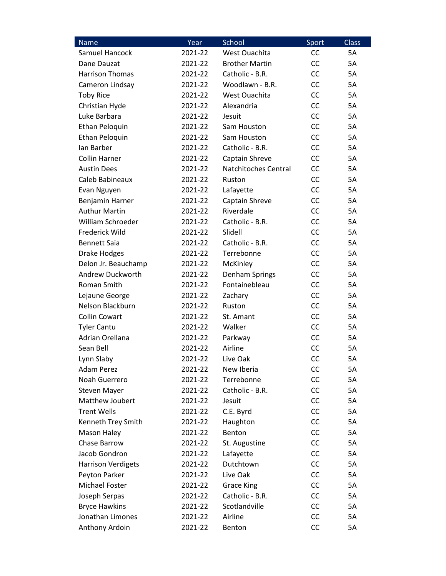| Name                      | Year    | School                      | Sport     | <b>Class</b> |
|---------------------------|---------|-----------------------------|-----------|--------------|
| Samuel Hancock            | 2021-22 | West Ouachita               | <b>CC</b> | 5A           |
| Dane Dauzat               | 2021-22 | <b>Brother Martin</b>       | CC        | <b>5A</b>    |
| <b>Harrison Thomas</b>    | 2021-22 | Catholic - B.R.             | CC        | <b>5A</b>    |
| Cameron Lindsay           | 2021-22 | Woodlawn - B.R.             | CC        | <b>5A</b>    |
| <b>Toby Rice</b>          | 2021-22 | West Ouachita               | CC        | <b>5A</b>    |
| Christian Hyde            | 2021-22 | Alexandria                  | CC        | <b>5A</b>    |
| Luke Barbara              | 2021-22 | Jesuit                      | CC        | <b>5A</b>    |
| Ethan Peloquin            | 2021-22 | Sam Houston                 | CC        | <b>5A</b>    |
| Ethan Peloquin            | 2021-22 | Sam Houston                 | CC        | 5A           |
| lan Barber                | 2021-22 | Catholic - B.R.             | CC        | <b>5A</b>    |
| <b>Collin Harner</b>      | 2021-22 | Captain Shreve              | <b>CC</b> | <b>5A</b>    |
| <b>Austin Dees</b>        | 2021-22 | <b>Natchitoches Central</b> | CC        | <b>5A</b>    |
| Caleb Babineaux           | 2021-22 | Ruston                      | CC        | <b>5A</b>    |
| Evan Nguyen               | 2021-22 | Lafayette                   | CC        | <b>5A</b>    |
| Benjamin Harner           | 2021-22 | Captain Shreve              | CC        | <b>5A</b>    |
| <b>Authur Martin</b>      | 2021-22 | Riverdale                   | CC        | <b>5A</b>    |
| William Schroeder         | 2021-22 | Catholic - B.R.             | CC        | <b>5A</b>    |
| Frederick Wild            | 2021-22 | Slidell                     | CC        | <b>5A</b>    |
| <b>Bennett Saia</b>       | 2021-22 | Catholic - B.R.             | CC        | <b>5A</b>    |
| <b>Drake Hodges</b>       | 2021-22 | Terrebonne                  | CC        | <b>5A</b>    |
| Delon Jr. Beauchamp       | 2021-22 | McKinley                    | CC        | 5A           |
| Andrew Duckworth          | 2021-22 | Denham Springs              | CC        | <b>5A</b>    |
| Roman Smith               | 2021-22 | Fontainebleau               | CC        | <b>5A</b>    |
| Lejaune George            | 2021-22 | Zachary                     | CC        | <b>5A</b>    |
| Nelson Blackburn          | 2021-22 | Ruston                      | CC        | <b>5A</b>    |
| <b>Collin Cowart</b>      | 2021-22 | St. Amant                   | CC        | <b>5A</b>    |
| <b>Tyler Cantu</b>        | 2021-22 | Walker                      | CC        | <b>5A</b>    |
| Adrian Orellana           | 2021-22 | Parkway                     | CC        | 5A           |
| Sean Bell                 | 2021-22 | Airline                     | <b>CC</b> | <b>5A</b>    |
| Lynn Slaby                | 2021-22 | Live Oak                    | CC        | 5A           |
| <b>Adam Perez</b>         | 2021-22 | New Iberia                  | <b>CC</b> | 5A           |
| Noah Guerrero             | 2021-22 | Terrebonne                  | CC        | 5A           |
| <b>Steven Mayer</b>       | 2021-22 | Catholic - B.R.             | CC        | 5A           |
| Matthew Joubert           | 2021-22 | Jesuit                      | CC        | 5A           |
| <b>Trent Wells</b>        | 2021-22 | C.E. Byrd                   | CC        | 5A           |
| Kenneth Trey Smith        | 2021-22 | Haughton                    | CC        | 5A           |
| Mason Haley               | 2021-22 | Benton                      | CC        | 5A           |
| Chase Barrow              | 2021-22 | St. Augustine               | CC        | 5A           |
| Jacob Gondron             | 2021-22 | Lafayette                   | CC        | 5A           |
| <b>Harrison Verdigets</b> | 2021-22 | Dutchtown                   | CC        | 5A           |
| Peyton Parker             | 2021-22 | Live Oak                    | CC        | 5A           |
| Michael Foster            | 2021-22 | <b>Grace King</b>           | CC        | 5A           |
| Joseph Serpas             | 2021-22 | Catholic - B.R.             | CC        | 5A           |
| <b>Bryce Hawkins</b>      | 2021-22 | Scotlandville               | CC        | 5A           |
| Jonathan Limones          | 2021-22 | Airline                     | CC        | 5A           |
| Anthony Ardoin            | 2021-22 | Benton                      | CC        | 5A           |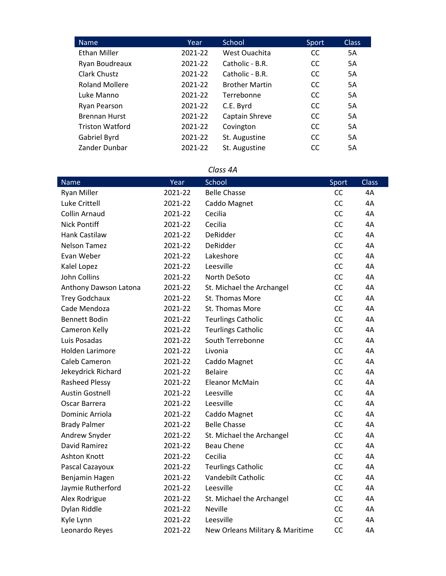| Name                   | Year    | School                | Sport         | <b>Class</b> |
|------------------------|---------|-----------------------|---------------|--------------|
| <b>Ethan Miller</b>    | 2021-22 | West Ouachita         | <sub>CC</sub> | 5A           |
| Ryan Boudreaux         | 2021-22 | Catholic - B.R.       | <sub>CC</sub> | 5A           |
| Clark Chustz           | 2021-22 | Catholic - B.R.       | <sub>CC</sub> | <b>5A</b>    |
| <b>Roland Mollere</b>  | 2021-22 | <b>Brother Martin</b> | <sub>CC</sub> | 5A           |
| Luke Manno             | 2021-22 | Terrebonne            | <sub>CC</sub> | 5A           |
| Ryan Pearson           | 2021-22 | C.E. Byrd             | <sub>CC</sub> | <b>5A</b>    |
| <b>Brennan Hurst</b>   | 2021-22 | Captain Shreve        | <sub>CC</sub> | 5A           |
| <b>Triston Watford</b> | 2021-22 | Covington             | <sub>CC</sub> | 5A           |
| Gabriel Byrd           | 2021-22 | St. Augustine         | <sub>CC</sub> | <b>5A</b>    |
| Zander Dunbar          | 2021-22 | St. Augustine         | <sub>CC</sub> | 5A           |

#### *Class 4A*

| <b>Name</b>            | Year    | School                          | Sport     | <b>Class</b> |
|------------------------|---------|---------------------------------|-----------|--------------|
| <b>Ryan Miller</b>     | 2021-22 | <b>Belle Chasse</b>             | CC        | 4A           |
| Luke Crittell          | 2021-22 | Caddo Magnet                    | CC        | 4A           |
| Collin Arnaud          | 2021-22 | Cecilia                         | <b>CC</b> | 4A           |
| <b>Nick Pontiff</b>    | 2021-22 | Cecilia                         | <b>CC</b> | 4A           |
| <b>Hank Castilaw</b>   | 2021-22 | <b>DeRidder</b>                 | CC        | 4A           |
| <b>Nelson Tamez</b>    | 2021-22 | <b>DeRidder</b>                 | CC        | 4A           |
| Evan Weber             | 2021-22 | Lakeshore                       | CC        | 4A           |
| Kalel Lopez            | 2021-22 | Leesville                       | CC        | 4A           |
| <b>John Collins</b>    | 2021-22 | North DeSoto                    | CC        | 4A           |
| Anthony Dawson Latona  | 2021-22 | St. Michael the Archangel       | <b>CC</b> | 4A           |
| <b>Trey Godchaux</b>   | 2021-22 | St. Thomas More                 | <b>CC</b> | 4A           |
| Cade Mendoza           | 2021-22 | St. Thomas More                 | CC        | 4A           |
| <b>Bennett Bodin</b>   | 2021-22 | <b>Teurlings Catholic</b>       | <b>CC</b> | 4A           |
| Cameron Kelly          | 2021-22 | <b>Teurlings Catholic</b>       | <b>CC</b> | 4A           |
| Luis Posadas           | 2021-22 | South Terrebonne                | <b>CC</b> | 4A           |
| <b>Holden Larimore</b> | 2021-22 | Livonia                         | <b>CC</b> | 4A           |
| Caleb Cameron          | 2021-22 | Caddo Magnet                    | CC        | 4A           |
| Jekeydrick Richard     | 2021-22 | <b>Belaire</b>                  | CC        | 4A           |
| Rasheed Plessy         | 2021-22 | <b>Eleanor McMain</b>           | <b>CC</b> | 4A           |
| <b>Austin Gostnell</b> | 2021-22 | Leesville                       | <b>CC</b> | 4A           |
| Oscar Barrera          | 2021-22 | Leesville                       | <b>CC</b> | 4A           |
| Dominic Arriola        | 2021-22 | Caddo Magnet                    | CC        | 4A           |
| <b>Brady Palmer</b>    | 2021-22 | <b>Belle Chasse</b>             | CC        | 4A           |
| Andrew Snyder          | 2021-22 | St. Michael the Archangel       | <b>CC</b> | 4A           |
| David Ramirez          | 2021-22 | <b>Beau Chene</b>               | CC        | 4A           |
| <b>Ashton Knott</b>    | 2021-22 | Cecilia                         | <b>CC</b> | 4A           |
| Pascal Cazayoux        | 2021-22 | <b>Teurlings Catholic</b>       | <b>CC</b> | 4A           |
| Benjamin Hagen         | 2021-22 | Vandebilt Catholic              | CC        | 4A           |
| Jaymie Rutherford      | 2021-22 | Leesville                       | <b>CC</b> | 4A           |
| Alex Rodrigue          | 2021-22 | St. Michael the Archangel       | CC        | 4A           |
| Dylan Riddle           | 2021-22 | <b>Neville</b>                  | <b>CC</b> | 4A           |
| Kyle Lynn              | 2021-22 | Leesville                       | <b>CC</b> | 4A           |
| Leonardo Reyes         | 2021-22 | New Orleans Military & Maritime | <b>CC</b> | 4A           |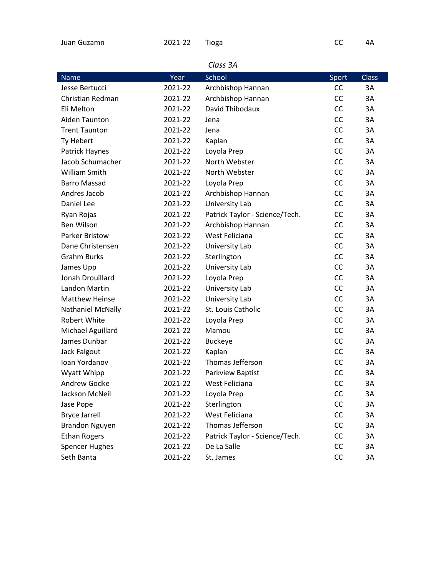| Juan Guzamn | 2021-22 Tioga |  | - 4A |
|-------------|---------------|--|------|
|             |               |  |      |

| <b>Name</b>           | Year    | School                         | Sport | <b>Class</b> |  |  |
|-----------------------|---------|--------------------------------|-------|--------------|--|--|
| Jesse Bertucci        | 2021-22 | Archbishop Hannan              | CC    | 3A           |  |  |
| Christian Redman      | 2021-22 | Archbishop Hannan              | CC    | 3A           |  |  |
| Eli Melton            | 2021-22 | David Thibodaux                | CC    | 3A           |  |  |
| Aiden Taunton         | 2021-22 | Jena                           | CC    | 3A           |  |  |
| <b>Trent Taunton</b>  | 2021-22 | Jena                           | CC    | 3A           |  |  |
| Ty Hebert             | 2021-22 | Kaplan                         | CC    | 3A           |  |  |
| Patrick Haynes        | 2021-22 | Loyola Prep                    | CC    | 3A           |  |  |
| Jacob Schumacher      | 2021-22 | North Webster                  | CC    | 3A           |  |  |
| William Smith         | 2021-22 | North Webster                  | CC    | 3A           |  |  |
| <b>Barro Massad</b>   | 2021-22 | Loyola Prep                    | CC    | 3A           |  |  |
| Andres Jacob          | 2021-22 | Archbishop Hannan              | CC    | 3A           |  |  |
| Daniel Lee            | 2021-22 | University Lab                 | CC    | 3A           |  |  |
| Ryan Rojas            | 2021-22 | Patrick Taylor - Science/Tech. | CC    | 3A           |  |  |
| Ben Wilson            | 2021-22 | Archbishop Hannan              | CC    | 3A           |  |  |
| <b>Parker Bristow</b> | 2021-22 | West Feliciana                 | CC    | 3A           |  |  |
| Dane Christensen      | 2021-22 | University Lab                 | CC    | 3A           |  |  |
| <b>Grahm Burks</b>    | 2021-22 | Sterlington                    | CC    | 3A           |  |  |
| James Upp             | 2021-22 | University Lab                 | CC    | 3A           |  |  |
| Jonah Drouillard      | 2021-22 | Loyola Prep                    | CC    | 3A           |  |  |
| Landon Martin         | 2021-22 | University Lab                 | CC    | 3A           |  |  |
| <b>Matthew Heinse</b> | 2021-22 | University Lab                 | CC    | 3A           |  |  |
| Nathaniel McNally     | 2021-22 | St. Louis Catholic             | CC    | 3A           |  |  |
| <b>Robert White</b>   | 2021-22 | Loyola Prep                    | CC    | 3A           |  |  |
| Michael Aguillard     | 2021-22 | Mamou                          | CC    | 3A           |  |  |
| James Dunbar          | 2021-22 | <b>Buckeye</b>                 | CC    | 3A           |  |  |
| Jack Falgout          | 2021-22 | Kaplan                         | CC    | 3A           |  |  |
| Ioan Yordanov         | 2021-22 | Thomas Jefferson               | CC    | 3A           |  |  |
| Wyatt Whipp           | 2021-22 | Parkview Baptist               | CC    | 3A           |  |  |
| <b>Andrew Godke</b>   | 2021-22 | West Feliciana                 | CC    | 3A           |  |  |
| Jackson McNeil        | 2021-22 | Loyola Prep                    | CC    | 3A           |  |  |
| Jase Pope             | 2021-22 | Sterlington                    | CC    | 3A           |  |  |
| <b>Bryce Jarrell</b>  | 2021-22 | West Feliciana                 | CC    | 3A           |  |  |
| <b>Brandon Nguyen</b> | 2021-22 | Thomas Jefferson               | CC    | 3A           |  |  |
| <b>Ethan Rogers</b>   | 2021-22 | Patrick Taylor - Science/Tech. | CC    | 3A           |  |  |
| <b>Spencer Hughes</b> | 2021-22 | De La Salle                    | CC    | 3A           |  |  |
| Seth Banta            | 2021-22 | St. James                      | CC    | 3A           |  |  |

#### *Class 3A*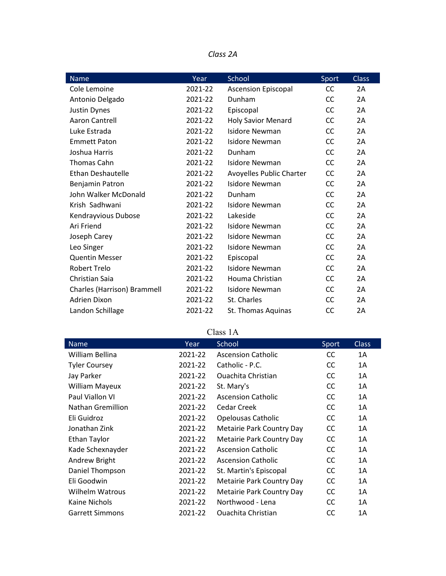| Class | 2Α |
|-------|----|
|-------|----|

| Name                        | Year    | School                          | Sport     | <b>Class</b> |
|-----------------------------|---------|---------------------------------|-----------|--------------|
| Cole Lemoine                | 2021-22 | <b>Ascension Episcopal</b>      | CC        | 2A           |
| Antonio Delgado             | 2021-22 | Dunham                          | CC        | 2A           |
| Justin Dynes                | 2021-22 | Episcopal                       | <b>CC</b> | 2A           |
| Aaron Cantrell              | 2021-22 | <b>Holy Savior Menard</b>       | CC        | 2A           |
| Luke Estrada                | 2021-22 | Isidore Newman                  | CC        | 2A           |
| <b>Emmett Paton</b>         | 2021-22 | Isidore Newman                  | CC        | 2A           |
| Joshua Harris               | 2021-22 | Dunham                          | CC        | 2A           |
| Thomas Cahn                 | 2021-22 | Isidore Newman                  | <b>CC</b> | 2A           |
| <b>Ethan Deshautelle</b>    | 2021-22 | <b>Avoyelles Public Charter</b> | <b>CC</b> | 2A           |
| Benjamin Patron             | 2021-22 | <b>Isidore Newman</b>           | <b>CC</b> | 2A           |
| John Walker McDonald        | 2021-22 | Dunham                          | <b>CC</b> | 2A           |
| Krish Sadhwani              | 2021-22 | Isidore Newman                  | CC        | 2A           |
| Kendrayvious Dubose         | 2021-22 | Lakeside                        | <b>CC</b> | 2A           |
| Ari Friend                  | 2021-22 | Isidore Newman                  | <b>CC</b> | 2A           |
| Joseph Carey                | 2021-22 | Isidore Newman                  | CC        | 2A           |
| Leo Singer                  | 2021-22 | Isidore Newman                  | CC        | 2A           |
| <b>Quentin Messer</b>       | 2021-22 | Episcopal                       | CC        | 2A           |
| <b>Robert Trelo</b>         | 2021-22 | Isidore Newman                  | <b>CC</b> | 2A           |
| Christian Saia              | 2021-22 | Houma Christian                 | CC        | 2A           |
| Charles (Harrison) Brammell | 2021-22 | Isidore Newman                  | CC        | 2A           |
| Adrien Dixon                | 2021-22 | St. Charles                     | CC        | 2A           |
| Landon Schillage            | 2021-22 | St. Thomas Aquinas              | CC        | 2A           |

## Class 1A

| <b>Name</b>            | Year    | School                           | Sport         | <b>Class</b> |
|------------------------|---------|----------------------------------|---------------|--------------|
| William Bellina        | 2021-22 | <b>Ascension Catholic</b>        | <sub>CC</sub> | 1A           |
| <b>Tyler Coursey</b>   | 2021-22 | Catholic - P.C.                  | CC.           | 1A           |
| Jay Parker             | 2021-22 | Quachita Christian               | <sub>CC</sub> | 1A           |
| <b>William Mayeux</b>  | 2021-22 | St. Mary's                       | <sub>CC</sub> | 1A           |
| Paul Viallon VI        | 2021-22 | <b>Ascension Catholic</b>        | <sub>CC</sub> | 1A           |
| Nathan Gremillion      | 2021-22 | Cedar Creek                      | <sub>CC</sub> | 1A           |
| Eli Guidroz            | 2021-22 | <b>Opelousas Catholic</b>        | <sub>CC</sub> | 1A           |
| Jonathan Zink          | 2021-22 | <b>Metairie Park Country Day</b> | <sub>CC</sub> | 1A           |
| Ethan Taylor           | 2021-22 | Metairie Park Country Day        | <sub>CC</sub> | 1A           |
| Kade Schexnayder       | 2021-22 | <b>Ascension Catholic</b>        | <sub>CC</sub> | 1A           |
| Andrew Bright          | 2021-22 | <b>Ascension Catholic</b>        | <sub>CC</sub> | 1A           |
| Daniel Thompson        | 2021-22 | St. Martin's Episcopal           | <sub>CC</sub> | 1A           |
| Eli Goodwin            | 2021-22 | Metairie Park Country Day        | <sub>CC</sub> | 1A           |
| <b>Wilhelm Watrous</b> | 2021-22 | Metairie Park Country Day        | <sub>CC</sub> | 1A           |
| Kaine Nichols          | 2021-22 | Northwood - Lena                 | <sub>CC</sub> | 1A           |
| <b>Garrett Simmons</b> | 2021-22 | <b>Ouachita Christian</b>        | CC            | 1A           |